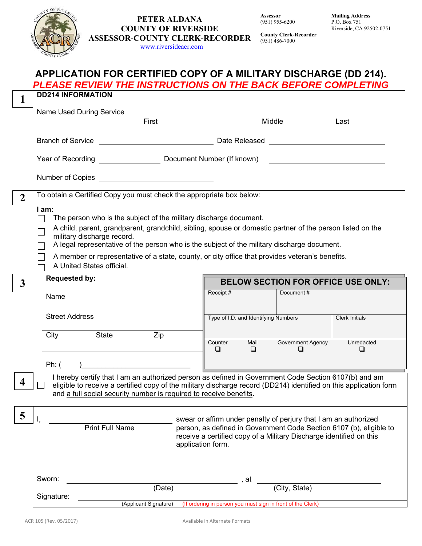

## **PETER ALDANA COUNTY OF RIVERSIDE ASSESSOR-COUNTY CLERK-RECORDER**

www.riversideacr.com

**County Clerk-Recorder** (951) 486-7000

|                | APPLICATION FOR CERTIFIED COPY OF A MILITARY DISCHARGE (DD 214).<br>PLEASE REVIEW THE INSTRUCTIONS ON THE BACK BEFORE COMPLETING                                                                                                                                                                                                                                                                                                                     |                                                                                                                                                                                                                                     |                                                     |                       |
|----------------|------------------------------------------------------------------------------------------------------------------------------------------------------------------------------------------------------------------------------------------------------------------------------------------------------------------------------------------------------------------------------------------------------------------------------------------------------|-------------------------------------------------------------------------------------------------------------------------------------------------------------------------------------------------------------------------------------|-----------------------------------------------------|-----------------------|
| 1              | <b>DD214 INFORMATION</b>                                                                                                                                                                                                                                                                                                                                                                                                                             |                                                                                                                                                                                                                                     |                                                     |                       |
|                | Name Used During Service                                                                                                                                                                                                                                                                                                                                                                                                                             |                                                                                                                                                                                                                                     |                                                     |                       |
|                | First                                                                                                                                                                                                                                                                                                                                                                                                                                                | Middle                                                                                                                                                                                                                              |                                                     | Last                  |
|                |                                                                                                                                                                                                                                                                                                                                                                                                                                                      |                                                                                                                                                                                                                                     |                                                     |                       |
|                | Year of Recording _________________________ Document Number (If known)                                                                                                                                                                                                                                                                                                                                                                               |                                                                                                                                                                                                                                     | <u> 1980 - Andrea Station, amerikansk politik (</u> |                       |
|                |                                                                                                                                                                                                                                                                                                                                                                                                                                                      |                                                                                                                                                                                                                                     |                                                     |                       |
| $\overline{2}$ | To obtain a Certified Copy you must check the appropriate box below:                                                                                                                                                                                                                                                                                                                                                                                 |                                                                                                                                                                                                                                     |                                                     |                       |
|                | I am:<br>The person who is the subject of the military discharge document.<br>A child, parent, grandparent, grandchild, sibling, spouse or domestic partner of the person listed on the<br>military discharge record.<br>A legal representative of the person who is the subject of the military discharge document.<br>A member or representative of a state, county, or city office that provides veteran's benefits.<br>A United States official. |                                                                                                                                                                                                                                     |                                                     |                       |
| $\overline{3}$ | <b>Requested by:</b><br><b>BELOW SECTION FOR OFFICE USE ONLY:</b>                                                                                                                                                                                                                                                                                                                                                                                    |                                                                                                                                                                                                                                     |                                                     |                       |
|                | Name                                                                                                                                                                                                                                                                                                                                                                                                                                                 | Receipt #                                                                                                                                                                                                                           | Document#                                           |                       |
|                |                                                                                                                                                                                                                                                                                                                                                                                                                                                      |                                                                                                                                                                                                                                     |                                                     |                       |
|                | Street Address                                                                                                                                                                                                                                                                                                                                                                                                                                       | Type of I.D. and Identifying Numbers                                                                                                                                                                                                |                                                     | <b>Clerk Initials</b> |
|                | Zip<br>City<br>State                                                                                                                                                                                                                                                                                                                                                                                                                                 |                                                                                                                                                                                                                                     |                                                     |                       |
|                |                                                                                                                                                                                                                                                                                                                                                                                                                                                      | Counter<br>Mail<br>❏<br>⊔                                                                                                                                                                                                           | <b>Government Agency</b><br>⊔                       | Unredacted<br>❏       |
|                | Ph: (                                                                                                                                                                                                                                                                                                                                                                                                                                                |                                                                                                                                                                                                                                     |                                                     |                       |
|                | I hereby certify that I am an authorized person as defined in Government Code Section 6107(b) and am<br>eligible to receive a certified copy of the military discharge record (DD214) identified on this application form<br>and a full social security number is required to receive benefits.                                                                                                                                                      |                                                                                                                                                                                                                                     |                                                     |                       |
| 5              | Ι,<br><b>Print Full Name</b>                                                                                                                                                                                                                                                                                                                                                                                                                         | swear or affirm under penalty of perjury that I am an authorized<br>person, as defined in Government Code Section 6107 (b), eligible to<br>receive a certified copy of a Military Discharge identified on this<br>application form. |                                                     |                       |
|                | Sworn:                                                                                                                                                                                                                                                                                                                                                                                                                                               | at                                                                                                                                                                                                                                  |                                                     |                       |
|                | (Date)                                                                                                                                                                                                                                                                                                                                                                                                                                               |                                                                                                                                                                                                                                     | (City, State)                                       |                       |
|                | Signature:<br>(Applicant Signature)                                                                                                                                                                                                                                                                                                                                                                                                                  | (If ordering in person you must sign in front of the Clerk)                                                                                                                                                                         |                                                     |                       |